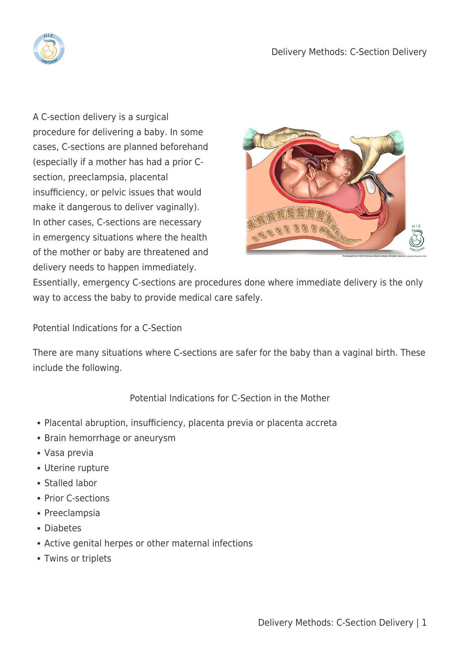

A C-section delivery is a surgical procedure for delivering a baby. In some cases, C-sections are planned beforehand (especially if a mother has had a prior Csection, preeclampsia, placental insufficiency, or pelvic issues that would make it dangerous to deliver vaginally). In other cases, C-sections are necessary in emergency situations where the health of the mother or baby are threatened and delivery needs to happen immediately.



Essentially, emergency C-sections are procedures done where immediate delivery is the only way to access the baby to provide medical care safely.

Potential Indications for a C-Section

There are many situations where C-sections are safer for the baby than a vaginal birth. These include the following.

Potential Indications for C-Section in the Mother

- Placental abruption, insufficiency, placenta previa or placenta accreta
- Brain hemorrhage or aneurysm
- Vasa previa
- Uterine rupture
- Stalled labor
- Prior C-sections
- Preeclampsia
- Diabetes
- Active genital herpes or other maternal infections
- Twins or triplets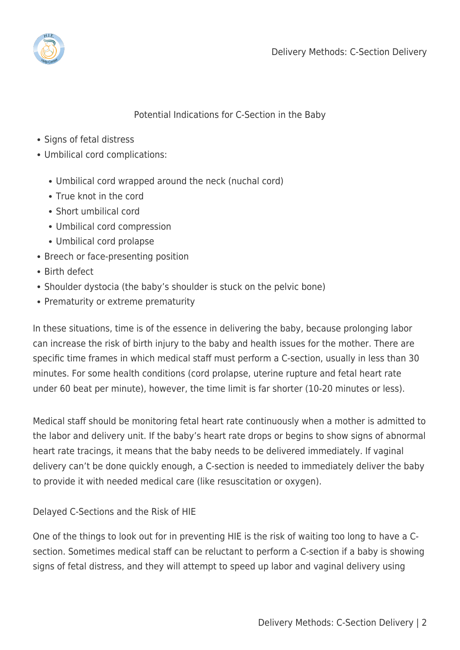

## Potential Indications for C-Section in the Baby

- Signs of fetal distress
- Umbilical cord complications:
	- Umbilical cord wrapped around the neck (nuchal cord)
	- True knot in the cord
	- Short umbilical cord
	- Umbilical cord compression
	- Umbilical cord prolapse
- Breech or face-presenting position
- Birth defect
- Shoulder dystocia (the baby's shoulder is stuck on the pelvic bone)
- Prematurity or extreme prematurity

In these situations, time is of the essence in delivering the baby, because prolonging labor can increase the risk of birth injury to the baby and health issues for the mother. There are specific time frames in which medical staff must perform a C-section, usually in less than 30 minutes. For some health conditions (cord prolapse, uterine rupture and fetal heart rate under 60 beat per minute), however, the time limit is far shorter (10-20 minutes or less).

Medical staff should be monitoring fetal heart rate continuously when a mother is admitted to the labor and delivery unit. If the baby's heart rate drops or begins to show signs of abnormal heart rate tracings, it means that the baby needs to be delivered immediately. If vaginal delivery can't be done quickly enough, a C-section is needed to immediately deliver the baby to provide it with needed medical care (like resuscitation or oxygen).

## Delayed C-Sections and the Risk of HIE

One of the things to look out for in preventing HIE is the risk of waiting too long to have a Csection. Sometimes medical staff can be reluctant to perform a C-section if a baby is showing signs of fetal distress, and they will attempt to speed up labor and vaginal delivery using